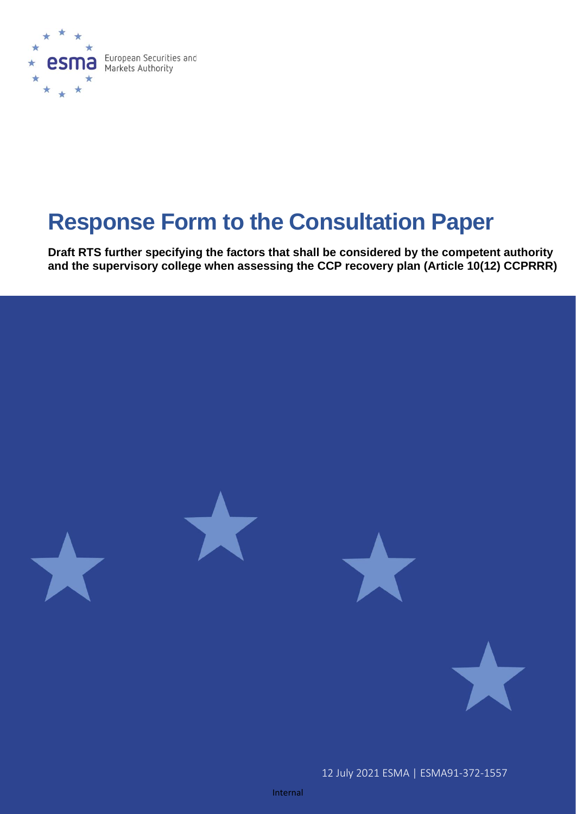

# **Response Form to the Consultation Paper**

**Draft RTS further specifying the factors that shall be considered by the competent authority and the supervisory college when assessing the CCP recovery plan (Article 10(12) CCPRRR)**

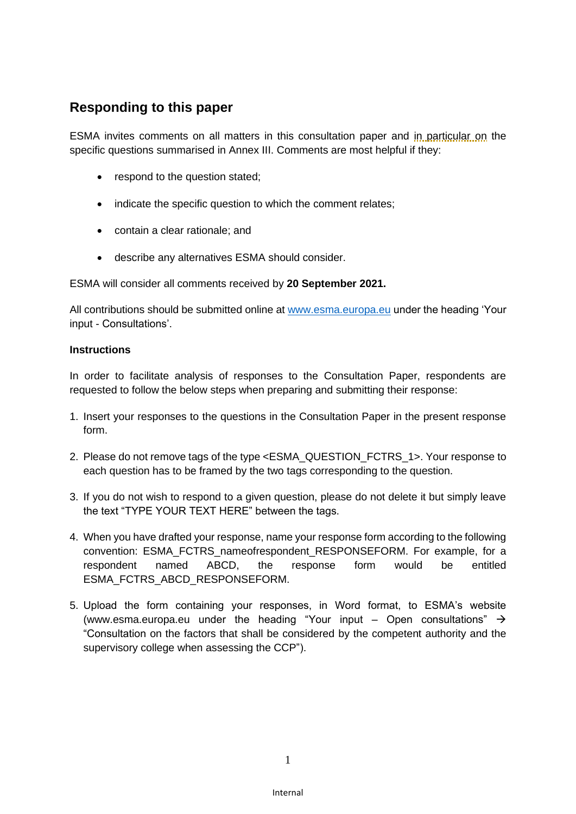### **Responding to this paper**

ESMA invites comments on all matters in this consultation paper and in particular on the specific questions summarised in Annex III. Comments are most helpful if they:

- respond to the question stated;
- indicate the specific question to which the comment relates;
- contain a clear rationale; and
- describe any alternatives ESMA should consider.

ESMA will consider all comments received by **20 September 2021.**

All contributions should be submitted online at [www.esma.europa.eu](http://www.esma.europa.eu/) under the heading 'Your input - Consultations'.

### **Instructions**

In order to facilitate analysis of responses to the Consultation Paper, respondents are requested to follow the below steps when preparing and submitting their response:

- 1. Insert your responses to the questions in the Consultation Paper in the present response form.
- 2. Please do not remove tags of the type <ESMA\_QUESTION\_FCTRS\_1>. Your response to each question has to be framed by the two tags corresponding to the question.
- 3. If you do not wish to respond to a given question, please do not delete it but simply leave the text "TYPE YOUR TEXT HERE" between the tags.
- 4. When you have drafted your response, name your response form according to the following convention: ESMA\_FCTRS\_nameofrespondent\_RESPONSEFORM. For example, for a respondent named ABCD, the response form would be entitled ESMA\_FCTRS\_ABCD\_RESPONSEFORM.
- 5. Upload the form containing your responses, in Word format, to ESMA's website [\(www.esma.europa.eu](http://www.esma.europa.eu/) under the heading "Your input – Open consultations"  $\rightarrow$ "Consultation on the factors that shall be considered by the competent authority and the supervisory college when assessing the CCP").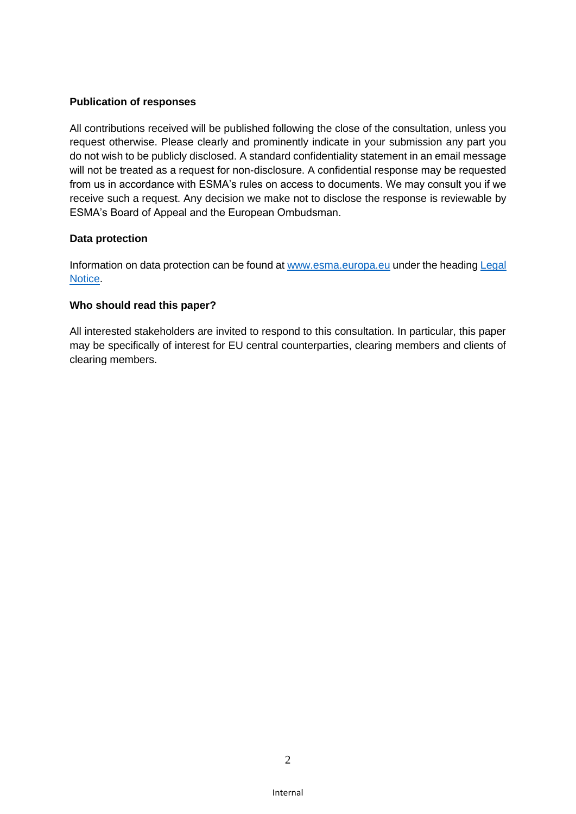### **Publication of responses**

All contributions received will be published following the close of the consultation, unless you request otherwise. Please clearly and prominently indicate in your submission any part you do not wish to be publicly disclosed. A standard confidentiality statement in an email message will not be treated as a request for non-disclosure. A confidential response may be requested from us in accordance with ESMA's rules on access to documents. We may consult you if we receive such a request. Any decision we make not to disclose the response is reviewable by ESMA's Board of Appeal and the European Ombudsman.

### **Data protection**

Information on data protection can be found at [www.esma.europa.eu](http://www.esma.europa.eu/) under the heading Legal [Notice.](http://www.esma.europa.eu/legal-notice)

#### **Who should read this paper?**

All interested stakeholders are invited to respond to this consultation. In particular, this paper may be specifically of interest for EU central counterparties, clearing members and clients of clearing members.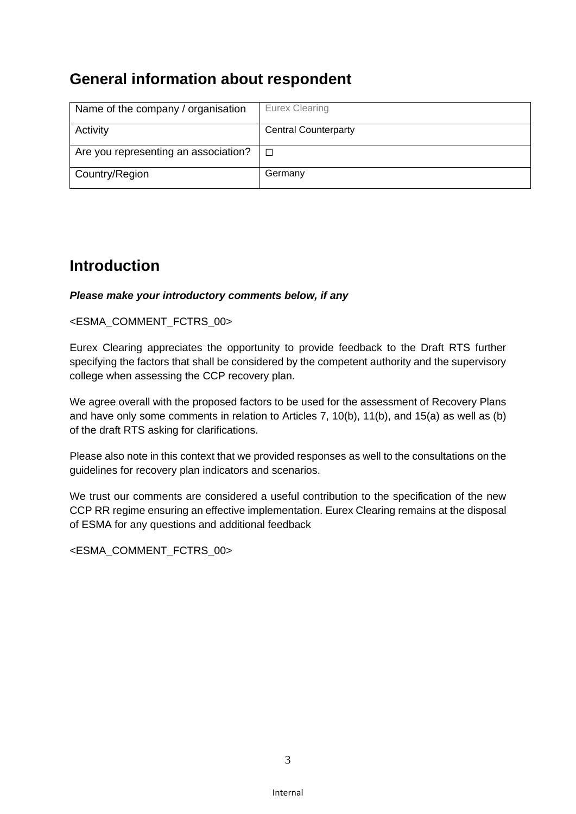## **General information about respondent**

| Name of the company / organisation   | Eurex Clearing              |
|--------------------------------------|-----------------------------|
| Activity                             | <b>Central Counterparty</b> |
| Are you representing an association? | $\Box$                      |
| Country/Region                       | Germany                     |

## **Introduction**

### *Please make your introductory comments below, if any*

### <ESMA\_COMMENT\_FCTRS\_00>

Eurex Clearing appreciates the opportunity to provide feedback to the Draft RTS further specifying the factors that shall be considered by the competent authority and the supervisory college when assessing the CCP recovery plan.

We agree overall with the proposed factors to be used for the assessment of Recovery Plans and have only some comments in relation to Articles 7, 10(b), 11(b), and 15(a) as well as (b) of the draft RTS asking for clarifications.

Please also note in this context that we provided responses as well to the consultations on the guidelines for recovery plan indicators and scenarios.

We trust our comments are considered a useful contribution to the specification of the new CCP RR regime ensuring an effective implementation. Eurex Clearing remains at the disposal of ESMA for any questions and additional feedback

<ESMA\_COMMENT\_FCTRS\_00>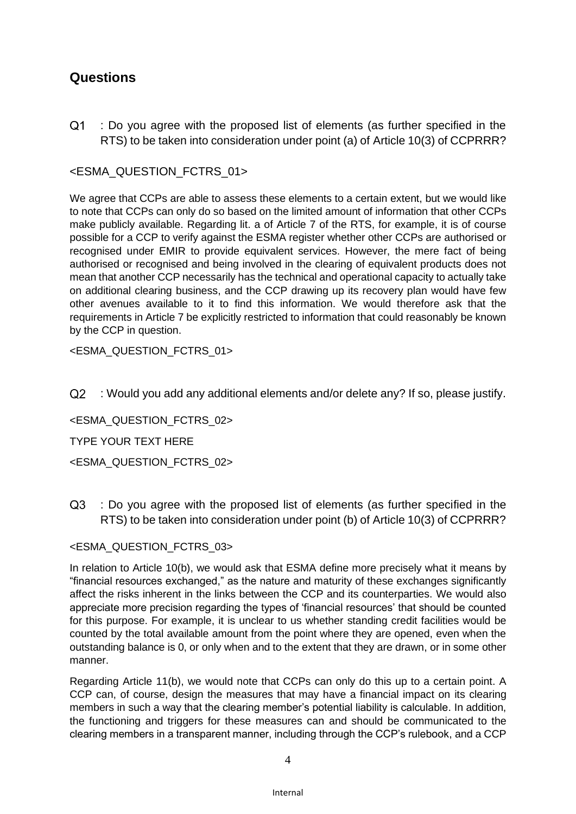### **Questions**

 $O<sub>1</sub>$ : Do you agree with the proposed list of elements (as further specified in the RTS) to be taken into consideration under point (a) of Article 10(3) of CCPRRR?

### <ESMA\_QUESTION\_FCTRS\_01>

We agree that CCPs are able to assess these elements to a certain extent, but we would like to note that CCPs can only do so based on the limited amount of information that other CCPs make publicly available. Regarding lit. a of Article 7 of the RTS, for example, it is of course possible for a CCP to verify against the ESMA register whether other CCPs are authorised or recognised under EMIR to provide equivalent services. However, the mere fact of being authorised or recognised and being involved in the clearing of equivalent products does not mean that another CCP necessarily has the technical and operational capacity to actually take on additional clearing business, and the CCP drawing up its recovery plan would have few other avenues available to it to find this information. We would therefore ask that the requirements in Article 7 be explicitly restricted to information that could reasonably be known by the CCP in question.

<ESMA\_QUESTION\_FCTRS\_01>

 $O<sub>2</sub>$ : Would you add any additional elements and/or delete any? If so, please justify.

<ESMA\_QUESTION\_FCTRS\_02>

TYPE YOUR TEXT HERE

<ESMA\_QUESTION\_FCTRS\_02>

 $O3$ : Do you agree with the proposed list of elements (as further specified in the RTS) to be taken into consideration under point (b) of Article 10(3) of CCPRRR?

### <ESMA\_QUESTION\_FCTRS\_03>

In relation to Article 10(b), we would ask that ESMA define more precisely what it means by "financial resources exchanged," as the nature and maturity of these exchanges significantly affect the risks inherent in the links between the CCP and its counterparties. We would also appreciate more precision regarding the types of 'financial resources' that should be counted for this purpose. For example, it is unclear to us whether standing credit facilities would be counted by the total available amount from the point where they are opened, even when the outstanding balance is 0, or only when and to the extent that they are drawn, or in some other manner.

Regarding Article 11(b), we would note that CCPs can only do this up to a certain point. A CCP can, of course, design the measures that may have a financial impact on its clearing members in such a way that the clearing member's potential liability is calculable. In addition, the functioning and triggers for these measures can and should be communicated to the clearing members in a transparent manner, including through the CCP's rulebook, and a CCP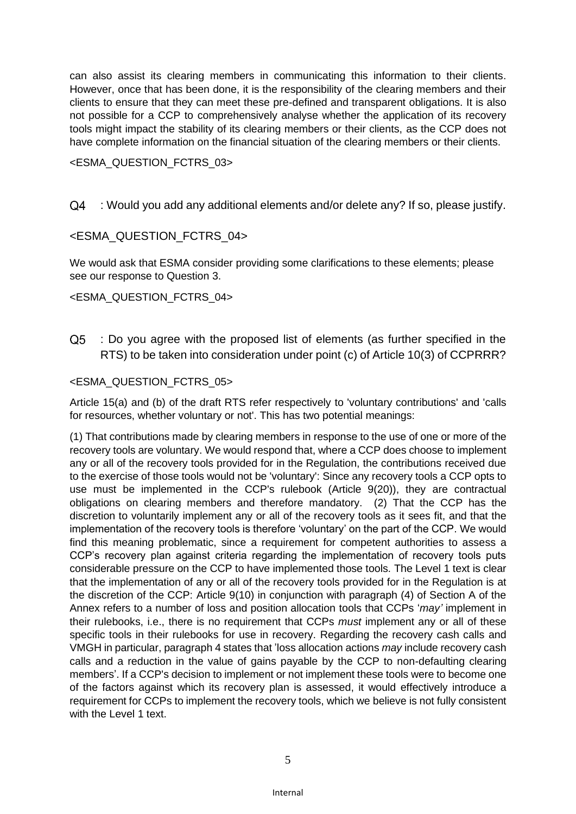can also assist its clearing members in communicating this information to their clients. However, once that has been done, it is the responsibility of the clearing members and their clients to ensure that they can meet these pre-defined and transparent obligations. It is also not possible for a CCP to comprehensively analyse whether the application of its recovery tools might impact the stability of its clearing members or their clients, as the CCP does not have complete information on the financial situation of the clearing members or their clients.

#### <ESMA\_QUESTION\_FCTRS\_03>

#### $Q4$ : Would you add any additional elements and/or delete any? If so, please justify.

### <ESMA\_QUESTION\_FCTRS\_04>

We would ask that ESMA consider providing some clarifications to these elements; please see our response to Question 3.

### <ESMA\_QUESTION\_FCTRS\_04>

 $Q5$ : Do you agree with the proposed list of elements (as further specified in the RTS) to be taken into consideration under point (c) of Article 10(3) of CCPRRR?

#### <ESMA\_QUESTION\_FCTRS\_05>

Article 15(a) and (b) of the draft RTS refer respectively to 'voluntary contributions' and 'calls for resources, whether voluntary or not'. This has two potential meanings:

(1) That contributions made by clearing members in response to the use of one or more of the recovery tools are voluntary. We would respond that, where a CCP does choose to implement any or all of the recovery tools provided for in the Regulation, the contributions received due to the exercise of those tools would not be 'voluntary': Since any recovery tools a CCP opts to use must be implemented in the CCP's rulebook (Article 9(20)), they are contractual obligations on clearing members and therefore mandatory. (2) That the CCP has the discretion to voluntarily implement any or all of the recovery tools as it sees fit, and that the implementation of the recovery tools is therefore 'voluntary' on the part of the CCP. We would find this meaning problematic, since a requirement for competent authorities to assess a CCP's recovery plan against criteria regarding the implementation of recovery tools puts considerable pressure on the CCP to have implemented those tools. The Level 1 text is clear that the implementation of any or all of the recovery tools provided for in the Regulation is at the discretion of the CCP: Article 9(10) in conjunction with paragraph (4) of Section A of the Annex refers to a number of loss and position allocation tools that CCPs '*may'* implement in their rulebooks, i.e., there is no requirement that CCPs *must* implement any or all of these specific tools in their rulebooks for use in recovery. Regarding the recovery cash calls and VMGH in particular, paragraph 4 states that 'loss allocation actions *may* include recovery cash calls and a reduction in the value of gains payable by the CCP to non-defaulting clearing members'. If a CCP's decision to implement or not implement these tools were to become one of the factors against which its recovery plan is assessed, it would effectively introduce a requirement for CCPs to implement the recovery tools, which we believe is not fully consistent with the Level 1 text.